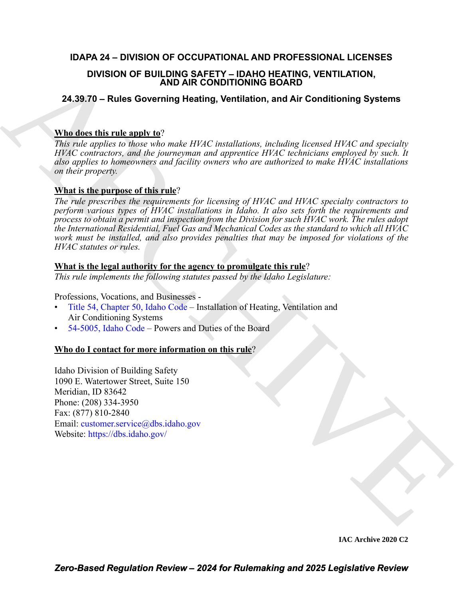### **IDAPA 24 – DIVISION OF OCCUPATIONAL AND PROFESSIONAL LICENSES**

### **DIVISION OF BUILDING SAFETY – IDAHO HEATING, VENTILATION, AND AIR CONDITIONING BOARD**

### **24.39.70 – Rules Governing Heating, Ventilation, and Air Conditioning Systems**

### **Who does this rule apply to**?

*This rule applies to those who make HVAC installations, including licensed HVAC and specialty HVAC contractors, and the journeyman and apprentice HVAC technicians employed by such. It also applies to homeowners and facility owners who are authorized to make HVAC installations on their property.* 

### **What is the purpose of this rule**?

**DIVISION OF BUILDING ASPETY-IDANTO HEATING ARE [C](https://legislature.idaho.gov/statutesrules/idstat/Title54/T54CH50/)ONSIDENT AND ARCHI[VE](mailto:customer.service@dbs.idaho.gov) IN A SURFAINS CONFIDENT AND A AT CONDITIONING SOARCHIVE TO AND A AIT CONSIDERATION (The USE CONSIDERATION) The CONSIDERATION (And**  $\theta$  **and**  $\theta$  **and \theta** *The rule prescribes the requirements for licensing of HVAC and HVAC specialty contractors to perform various types of HVAC installations in Idaho. It also sets forth the requirements and process to obtain a permit and inspection from the Division for such HVAC work. The rules adopt the International Residential, Fuel Gas and Mechanical Codes as the standard to which all HVAC work must be installed, and also provides penalties that may be imposed for violations of the HVAC statutes or rules.*

### **What is the legal authority for the agency to promulgate this rule**?

*This rule implements the following statutes passed by the Idaho Legislature:*

Professions, Vocations, and Businesses -

- Title 54, Chapter 50, Idaho Code Installation of Heating, Ventilation and Air Conditioning Systems
- 54-5005, Idaho Code Powers and Duties of the Board

### **Who do I contact for more information on this rule**?

Idaho Division of Building Safety 1090 E. Watertower Street, Suite 150 Meridian, ID 83642 Phone: (208) 334-3950 Fax: (877) 810-2840 Email: customer.service@dbs.idaho.gov Website: https://dbs.idaho.gov/

**IAC Archive 2020 C2**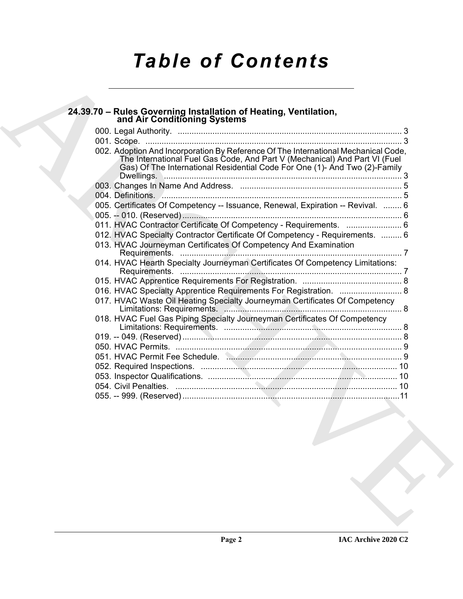# *Table of Contents*

| 002. Adoption And Incorporation By Reference Of The International Mechanical Code,<br>The International Fuel Gas Code, And Part V (Mechanical) And Part VI (Fuel Gas) Of The International Residential Code For One (1)- And Two (2)-Family |  |
|---------------------------------------------------------------------------------------------------------------------------------------------------------------------------------------------------------------------------------------------|--|
|                                                                                                                                                                                                                                             |  |
|                                                                                                                                                                                                                                             |  |
|                                                                                                                                                                                                                                             |  |
| 004. Definitions. <u>All manual contracts</u> and the series of the series of the series of the series of the series o                                                                                                                      |  |
| 005. Certificates Of Competency -- Issuance, Renewal, Expiration -- Revival.  6                                                                                                                                                             |  |
|                                                                                                                                                                                                                                             |  |
| 011. HVAC Contractor Certificate Of Competency - Requirements.  6                                                                                                                                                                           |  |
| 012. HVAC Specialty Contractor Certificate Of Competency - Requirements.  6                                                                                                                                                                 |  |
| 013. HVAC Journeyman Certificates Of Competency And Examination                                                                                                                                                                             |  |
| 014. HVAC Hearth Specialty Journeyman Certificates Of Competency Limitations:                                                                                                                                                               |  |
|                                                                                                                                                                                                                                             |  |
| 016. HVAC Specialty Apprentice Requirements For Registration.  8                                                                                                                                                                            |  |
| 017. HVAC Waste Oil Heating Specialty Journeyman Certificates Of Competency                                                                                                                                                                 |  |
| 018. HVAC Fuel Gas Piping Specialty Journeyman Certificates Of Competency                                                                                                                                                                   |  |
|                                                                                                                                                                                                                                             |  |
|                                                                                                                                                                                                                                             |  |
| 051. HVAC Permit Fee Schedule. Manuscritt, 2006. 2007. 19                                                                                                                                                                                   |  |
|                                                                                                                                                                                                                                             |  |
|                                                                                                                                                                                                                                             |  |
|                                                                                                                                                                                                                                             |  |
|                                                                                                                                                                                                                                             |  |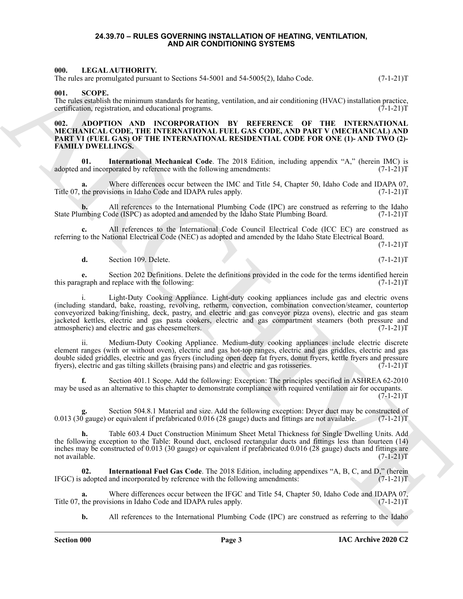#### **24.39.70 – RULES GOVERNING INSTALLATION OF HEATING, VENTILATION, AND AIR CONDITIONING SYSTEMS**

#### <span id="page-2-5"></span><span id="page-2-1"></span><span id="page-2-0"></span>**000. LEGAL AUTHORITY.**

The rules are promulgated pursuant to Sections 54-5001 and 54-5005(2), Idaho Code.  $(7-1-21)$ T

#### <span id="page-2-6"></span><span id="page-2-2"></span>**001. SCOPE.**

The rules establish the minimum standards for heating, ventilation, and air conditioning (HVAC) installation practice, certification, registration, and educational programs. (7-1-21)T certification, registration, and educational programs.

#### <span id="page-2-4"></span><span id="page-2-3"></span>**002. ADOPTION AND INCORPORATION BY REFERENCE OF THE INTERNATIONAL MECHANICAL CODE, THE INTERNATIONAL FUEL GAS CODE, AND PART V (MECHANICAL) AND PART VI (FUEL GAS) OF THE INTERNATIONAL RESIDENTIAL CODE FOR ONE (1)- AND TWO (2)- FAMILY DWELLINGS.**

**01. International Mechanical Code**. The 2018 Edition, including appendix "A," (herein IMC) is adopted and incorporated by reference with the following amendments: (7-1-21)T

**a.** Where differences occur between the IMC and Title 54, Chapter 50, Idaho Code and IDAPA 07, the provisions in Idaho Code and IDAPA rules apply. (7-1-21) Title 07, the provisions in Idaho Code and IDAPA rules apply.

All references to the International Plumbing Code (IPC) are construed as referring to the Idaho ode (ISPC) as adopted and amended by the Idaho State Plumbing Board. (7-1-21)T State Plumbing Code (ISPC) as adopted and amended by the Idaho State Plumbing Board.

**c.** All references to the International Code Council Electrical Code (ICC EC) are construed as referring to the National Electrical Code (NEC) as adopted and amended by the Idaho State Electrical Board.

 $(7-1-21)T$ 

**d.** Section 109. Delete. (7-1-21)T

**e.** Section 202 Definitions. Delete the definitions provided in the code for the terms identified herein graph and replace with the following: this paragraph and replace with the following:

60.<br>
The CIRCA CHITIDRENT Content Section 54.800 is sell 46.600%), helio Code<br>
The Content Content Content Content Content Content Content Content Content Content Content Content Content Content Content Content Content C Light-Duty Cooking Appliance. Light-duty cooking appliances include gas and electric ovens (including standard, bake, roasting, revolving, retherm, convection, combination convection/steamer, countertop conveyorized baking/finishing, deck, pastry, and electric and gas conveyor pizza ovens), electric and gas steam jacketed kettles, electric and gas pasta cookers, electric and gas compartment steamers (both pressure and atmospheric) and electric and gas cheesemelters.

Medium-Duty Cooking Appliance. Medium-duty cooking appliances include electric discrete element ranges (with or without oven), electric and gas hot-top ranges, electric and gas griddles, electric and gas double sided griddles, electric and gas fryers (including open deep fat fryers, donut fryers, kettle fryers and pressure fryers), electric and gas tilting skillets (braising pans) and electric and gas rotisseries. (7-1-21) fryers), electric and gas tilting skillets (braising pans) and electric and gas rotisseries.

**f.** Section 401.1 Scope. Add the following: Exception: The principles specified in ASHREA 62-2010 may be used as an alternative to this chapter to demonstrate compliance with required ventilation air for occupants.  $(7-1-21)T$ 

Section 504.8.1 Material and size. Add the following exception: Dryer duct may be constructed of or equivalent if prefabricated 0.016 (28 gauge) ducts and fittings are not available. (7-1-21)T 0.013 (30 gauge) or equivalent if prefabricated 0.016 (28 gauge) ducts and fittings are not available.

**h.** Table 603.4 Duct Construction Minimum Sheet Metal Thickness for Single Dwelling Units. Add the following exception to the Table: Round duct, enclosed rectangular ducts and fittings less than fourteen (14) inches may be constructed of 0.013 (30 gauge) or equivalent if prefabricated 0.016 (28 gauge) ducts and fittings are not available. (7-1-21)T

**02.** International Fuel Gas Code. The 2018 Edition, including appendixes "A, B, C, and D," (herein adopted and incorporated by reference with the following amendments: (7-1-21)  $IFGC$ ) is adopted and incorporated by reference with the following amendments:

Where differences occur between the IFGC and Title 54, Chapter 50, Idaho Code and IDAPA 07, sions in Idaho Code and IDAPA rules apply. (7-1-21)<sup>T</sup> Title 07, the provisions in Idaho Code and IDAPA rules apply.

**b.** All references to the International Plumbing Code (IPC) are construed as referring to the Idaho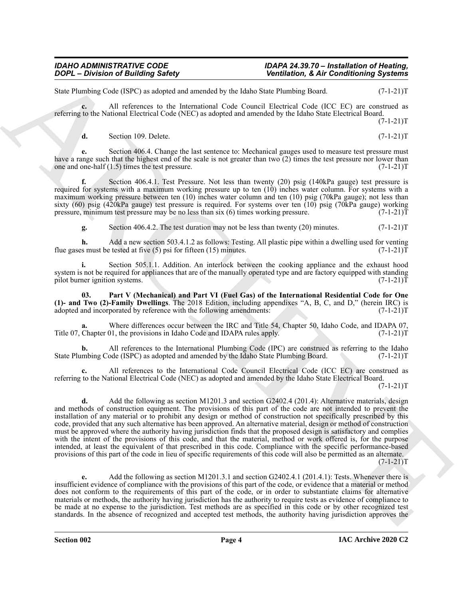State Plumbing Code (ISPC) as adopted and amended by the Idaho State Plumbing Board. (7-1-21)T

**c.** All references to the International Code Council Electrical Code (ICC EC) are construed as referring to the National Electrical Code (NEC) as adopted and amended by the Idaho State Electrical Board.  $(7-1-21)T$ 

**d.** Section 109. Delete. (7-1-21)T

**e.** Section 406.4. Change the last sentence to: Mechanical gauges used to measure test pressure must have a range such that the highest end of the scale is not greater than two (2) times the test pressure nor lower than one and one-half (1.5) times the test pressure. (7-1-21)T

**f.** Section 406.4.1. Test Pressure. Not less than twenty (20) psig (140kPa gauge) test pressure is required for systems with a maximum working pressure up to ten (10) inches water column. For systems with a maximum working pressure between ten (10) inches water column and ten (10) psig (70kPa gauge); not less than sixty (60) psig (420kPa gauge) test pressure is required. For systems over ten (10) psig (70kPa gauge) working pressure, minimum test pressure may be no less than six (6) times working pressure. (7-1-21)T pressure, minimum test pressure may be no less than six (6) times working pressure.

**g.** Section 406.4.2. The test duration may not be less than twenty (20) minutes.  $(7-1-21)$ T

**h.** Add a new section 503.4.1.2 as follows: Testing. All plastic pipe within a dwelling used for venting is must be tested at five (5) psi for fifteen (15) minutes. (7-1-21) flue gases must be tested at five  $(5)$  psi for fifteen  $(15)$  minutes.

**i.** Section 505.1.1. Addition. An interlock between the cooking appliance and the exhaust hood system is not be required for appliances that are of the manually operated type and are factory equipped with standing pilot burner ignition systems. (7-1-21)T

**03. Part V (Mechanical) and Part VI (Fuel Gas) of the International Residential Code for One (1)- and Two (2)-Family Dwellings**. The 2018 Edition, including appendixes "A, B, C, and D," (herein IRC) is adopted and incorporated by reference with the following amendments: (7-1-21)T

Where differences occur between the IRC and Title 54, Chapter 50, Idaho Code, and IDAPA 07, 01, the provisions in Idaho Code and IDAPA rules apply. (7-1-21)<sup>T</sup> Title 07, Chapter 01, the provisions in Idaho Code and IDAPA rules apply.

**b.** All references to the International Plumbing Code (IPC) are construed as referring to the Idaho State Plumbing Code (ISPC) as adopted and amended by the Idaho State Plumbing Board. (7-1-21)T

**c.** All references to the International Code Council Electrical Code (ICC EC) are construed as referring to the National Electrical Code (NEC) as adopted and amended by the Idaho State Electrical Board.

 $(7-1-21)T$ 

**Solution Characterize Constrainers Characterize Constrainers Characterize Constrainers** Solution **Constrainers** Solution **Constrainers** Solution **Constrainers**  $\frac{1}{2}$  and  $\frac{1}{2}$  and  $\frac{1}{2}$  and  $\frac{1}{2}$  an **d.** Add the following as section M1201.3 and section G2402.4 (201.4): Alternative materials, design and methods of construction equipment. The provisions of this part of the code are not intended to prevent the installation of any material or to prohibit any design or method of construction not specifically prescribed by this code, provided that any such alternative has been approved. An alternative material, design or method of construction must be approved where the authority having jurisdiction finds that the proposed design is satisfactory and complies with the intent of the provisions of this code, and that the material, method or work offered is, for the purpose intended, at least the equivalent of that prescribed in this code. Compliance with the specific performance-based provisions of this part of the code in lieu of specific requirements of this code will also be permitted as an alternate.  $(7-1-21)T$ 

**e.** Add the following as section M1201.3.1 and section G2402.4.1 (201.4.1): Tests. Whenever there is insufficient evidence of compliance with the provisions of this part of the code, or evidence that a material or method does not conform to the requirements of this part of the code, or in order to substantiate claims for alternative materials or methods, the authority having jurisdiction has the authority to require tests as evidence of compliance to be made at no expense to the jurisdiction. Test methods are as specified in this code or by other recognized test standards. In the absence of recognized and accepted test methods, the authority having jurisdiction approves the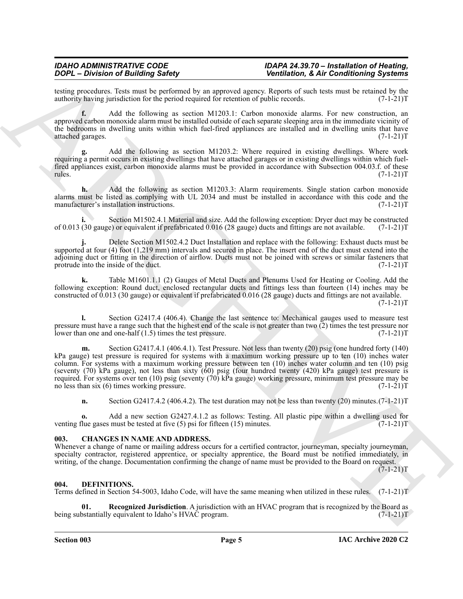testing procedures. Tests must be performed by an approved agency. Reports of such tests must be retained by the authority having jurisdiction for the period required for retention of public records. (7-1-21) authority having jurisdiction for the period required for retention of public records.

**f.** Add the following as section M1203.1: Carbon monoxide alarms. For new construction, an approved carbon monoxide alarm must be installed outside of each separate sleeping area in the immediate vicinity of the bedrooms in dwelling units within which fuel-fired appliances are installed and in dwelling units that have attached garages. (7-1-21)T

**g.** Add the following as section M1203.2: Where required in existing dwellings. Where work requiring a permit occurs in existing dwellings that have attached garages or in existing dwellings within which fuelfired appliances exist, carbon monoxide alarms must be provided in accordance with Subsection 004.03.f. of these rules. (7-1-21)T rules. (7-1-21)T

**h.** Add the following as section M1203.3: Alarm requirements. Single station carbon monoxide alarms must be listed as complying with UL 2034 and must be installed in accordance with this code and the manufacturer's installation instructions. (7-1-21)T

**i.** Section M1502.4.1 Material and size. Add the following exception: Dryer duct may be constructed of 0.013 (30 gauge) or equivalent if prefabricated 0.016 (28 gauge) ducts and fittings are not available. (7-1-21)T

**j.** Delete Section M1502.4.2 Duct Installation and replace with the following: Exhaust ducts must be supported at four (4) foot (1,219 mm) intervals and secured in place. The insert end of the duct must extend into the adjoining duct or fitting in the direction of airflow. Ducts must not be joined with screws or similar fasteners that protrude into the inside of the duct. (7-1-21)T

**k.** Table M1601.1.1 (2) Gauges of Metal Ducts and Plenums Used for Heating or Cooling. Add the following exception: Round duct, enclosed rectangular ducts and fittings less than fourteen (14) inches may be constructed of 0.013 (30 gauge) or equivalent if prefabricated 0.016 (28 gauge) ducts and fittings are not available.  $(7-1-21)T$ 

**l.** Section G2417.4 (406.4). Change the last sentence to: Mechanical gauges used to measure test pressure must have a range such that the highest end of the scale is not greater than two (2) times the test pressure nor lower than one and one-half (1.5) times the test pressure. (7-1-21)T

**ZOOP** - Division of Building Savety 1996<br>
Consider the Building Savety Repubble 2. Second Marco Repubble 2. Second Marco Repubble 2. Second Marco Repubble 2.1511<br>
ARCHIVES ARCHIVES AND MARCHIVES CONSIDERED CONSIDERED IN **m.** Section G2417.4.1 (406.4.1). Test Pressure. Not less than twenty (20) psig (one hundred forty (140) kPa gauge) test pressure is required for systems with a maximum working pressure up to ten (10) inches water column. For systems with a maximum working pressure between ten (10) inches water column and ten (10) psig (seventy (70) kPa gauge), not less than sixty (60) psig (four hundred twenty (420) kPa gauge) test pressure is required. For systems over ten (10) psig (seventy (70) kPa gauge) working pressure, minimum test pressure may be no less than six (6) times working pressure. no less than six  $(6)$  times working pressure.

**n.** Section G2417.4.2 (406.4.2). The test duration may not be less than twenty (20) minutes. (7-1-21) T

**o.** Add a new section G2427.4.1.2 as follows: Testing. All plastic pipe within a dwelling used for flue gases must be tested at five (5) psi for fifteen (15) minutes. (7-1-21) venting flue gases must be tested at five  $(5)$  psi for fifteen  $(15)$  minutes.

#### <span id="page-4-2"></span><span id="page-4-0"></span>**003. CHANGES IN NAME AND ADDRESS.**

Whenever a change of name or mailing address occurs for a certified contractor, journeyman, specialty journeyman, specialty contractor, registered apprentice, or specialty apprentice, the Board must be notified immediately, in writing, of the change. Documentation confirming the change of name must be provided to the Board on request.

 $(7-1-21)T$ 

#### <span id="page-4-3"></span><span id="page-4-1"></span>**004. DEFINITIONS.**

Terms defined in Section 54-5003, Idaho Code, will have the same meaning when utilized in these rules. (7-1-21)T

<span id="page-4-4"></span>**Recognized Jurisdiction**. A jurisdiction with an HVAC program that is recognized by the Board as y equivalent to Idaho's HVAC program. (7-1-21) being substantially equivalent to Idaho's HVAC program.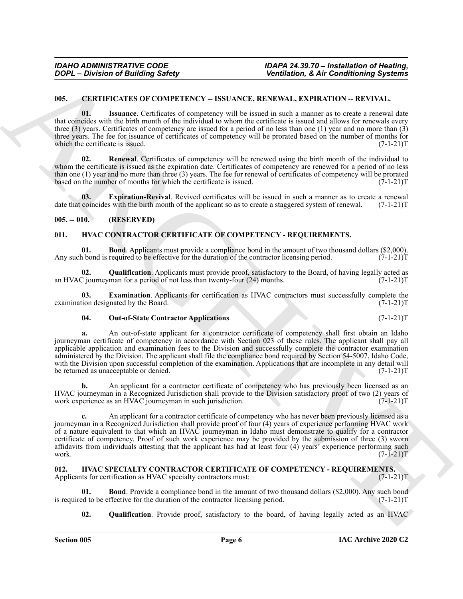#### <span id="page-5-4"></span><span id="page-5-0"></span>**005. CERTIFICATES OF COMPETENCY -- ISSUANCE, RENEWAL, EXPIRATION -- REVIVAL.**

<span id="page-5-6"></span>**01. Issuance**. Certificates of competency will be issued in such a manner as to create a renewal date that coincides with the birth month of the individual to whom the certificate is issued and allows for renewals every three (3) years. Certificates of competency are issued for a period of no less than one (1) year and no more than (3) three years. The fee for issuance of certificates of competency will be prorated based on the number of months for which the certificate is issued.  $(7-1-21)T$ 

<span id="page-5-7"></span>**02. Renewal**. Certificates of competency will be renewed using the birth month of the individual to whom the certificate is issued as the expiration date. Certificates of competency are renewed for a period of no less than one (1) year and no more than three (3) years. The fee for renewal of certificates of competency will be prorated based on the number of months for which the certificate is issued.  $(7-1-21)$ based on the number of months for which the certificate is issued.

<span id="page-5-5"></span>**03. Expiration-Revival**. Revived certificates will be issued in such a manner as to create a renewal date that coincides with the birth month of the applicant so as to create a staggered system of renewal. (7-1-21)T

#### <span id="page-5-1"></span>**005. -- 010. (RESERVED)**

#### <span id="page-5-8"></span><span id="page-5-2"></span>**011. HVAC CONTRACTOR CERTIFICATE OF COMPETENCY - REQUIREMENTS.**

<span id="page-5-9"></span>**01. Bond**. Applicants must provide a compliance bond in the amount of two thousand dollars (\$2,000). h bond is required to be effective for the duration of the contractor licensing period. (7-1-21) Any such bond is required to be effective for the duration of the contractor licensing period.

<span id="page-5-12"></span>**02.** Qualification. Applicants must provide proof, satisfactory to the Board, of having legally acted as C journeyman for a period of not less than twenty-four (24) months. (7-1-21) an HVAC journeyman for a period of not less than twenty-four  $(24)$  months.

**03.** Examination. Applicants for certification as HVAC contractors must successfully complete the tion designated by the Board. (7-1-21)T examination designated by the Board.

#### <span id="page-5-11"></span><span id="page-5-10"></span>**04. Out-of-State Contractor Applications**. (7-1-21)T

**a.** An out-of-state applicant for a contractor certificate of competency shall first obtain an Idaho journeyman certificate of competency in accordance with Section 023 of these rules. The applicant shall pay all applicable application and examination fees to the Division and successfully complete the contractor examination administered by the Division. The applicant shall file the compliance bond required by Section 54-5007, Idaho Code, with the Division upon successful completion of the examination. Applications that are incomplete in any detail will be returned as unacceptable or denied. (7-1-21)T

**b.** An applicant for a contractor certificate of competency who has previously been licensed as an HVAC journeyman in a Recognized Jurisdiction shall provide to the Division satisfactory proof of two (2) years of work experience as an HVAC journeyman in such jurisdiction. (7-1-21) work experience as an HVAC journeyman in such jurisdiction.

**2004** - Division of Building Safety<br> **Christinan Architecture** Constructive Constraints Constraints and the second in the second of the second of the second of the second of the second of the second of the second of the **c.** An applicant for a contractor certificate of competency who has never been previously licensed as a journeyman in a Recognized Jurisdiction shall provide proof of four (4) years of experience performing HVAC work of a nature equivalent to that which an HVAC journeyman in Idaho must demonstrate to qualify for a contractor certificate of competency. Proof of such work experience may be provided by the submission of three (3) sworn affidavits from individuals attesting that the applicant has had at least four  $(4)$  years' experience performing such work.  $(7-1-21)T$ work. (7-1-21)T

#### <span id="page-5-13"></span><span id="page-5-3"></span>**012. HVAC SPECIALTY CONTRACTOR CERTIFICATE OF COMPETENCY - REQUIREMENTS.** Applicants for certification as HVAC specialty contractors must: (7-1-21)T

**Bond**. Provide a compliance bond in the amount of two thousand dollars (\$2,000). Any such bond ffective for the duration of the contractor licensing period. (7-1-21) is required to be effective for the duration of the contractor licensing period.

<span id="page-5-15"></span><span id="page-5-14"></span>**02. Qualification**. Provide proof, satisfactory to the board, of having legally acted as an HVAC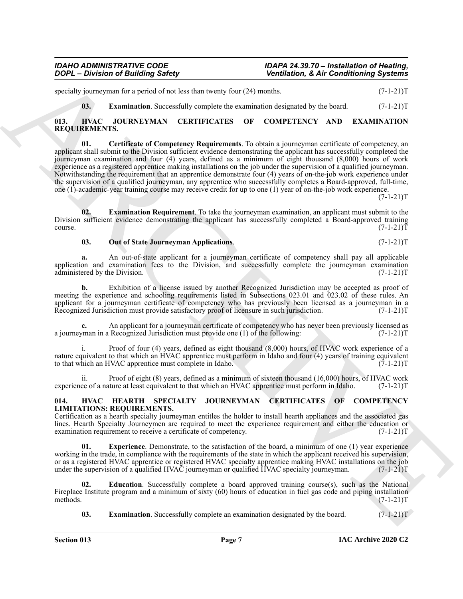specialty journeyman for a period of not less than twenty four  $(24)$  months.  $(7-1-21)T$ 

<span id="page-6-10"></span><span id="page-6-7"></span><span id="page-6-6"></span>**03. Examination**. Successfully complete the examination designated by the board. (7-1-21)T

#### <span id="page-6-0"></span>**013. HVAC JOURNEYMAN CERTIFICATES OF COMPETENCY AND EXAMINATION REQUIREMENTS.**

**The matrix of Euristics of Aler Constraints (Aler Constraints)**<br> **Charles Constraint Constraint Constraint Constraint Constraint Constraint Constraint Constraint Constraint Constraint Constraint Constraint Constraint Con 01. Certificate of Competency Requirements**. To obtain a journeyman certificate of competency, an applicant shall submit to the Division sufficient evidence demonstrating the applicant has successfully completed the journeyman examination and four (4) years, defined as a minimum of eight thousand (8,000) hours of work experience as a registered apprentice making installations on the job under the supervision of a qualified journeyman. Notwithstanding the requirement that an apprentice demonstrate four (4) years of on-the-job work experience under the supervision of a qualified journeyman, any apprentice who successfully completes a Board-approved, full-time, one (1)-academic-year training course may receive credit for up to one (1) year of on-the-job work experience.

 $(7-1-21)T$ 

**02. Examination Requirement**. To take the journeyman examination, an applicant must submit to the Division sufficient evidence demonstrating the applicant has successfully completed a Board-approved training course. (7-1-21)T

#### <span id="page-6-9"></span><span id="page-6-8"></span>**03.** Out of State Journeyman Applications.  $(7-1-21)T$

**a.** An out-of-state applicant for a journeyman certificate of competency shall pay all applicable application and examination fees to the Division, and successfully complete the journeyman examination administered by the Division. (7-1-21) administered by the Division.

**b.** Exhibition of a license issued by another Recognized Jurisdiction may be accepted as proof of meeting the experience and schooling requirements listed in Subsections 023.01 and 023.02 of these rules. An applicant for a journeyman certificate of competency who has previously been licensed as a journeyman in a Recognized Jurisdiction must provide satisfactory proof of licensure in such jurisdiction. (7-1-21)T

**c.** An applicant for a journeyman certificate of competency who has never been previously licensed as *man* in a Recognized Jurisdiction must provide one (1) of the following:  $(7-1-21)$ a journeyman in a Recognized Jurisdiction must provide one  $(1)$  of the following:

i. Proof of four (4) years, defined as eight thousand (8,000) hours, of HVAC work experience of a nature equivalent to that which an HVAC apprentice must perform in Idaho and four (4) years of training equivalent to that which an HVAC apprentice must complete in Idaho. (7-1-21)T

Proof of eight  $(8)$  years, defined as a minimum of sixteen thousand  $(16,000)$  hours, of HVAC work ture at least equivalent to that which an HVAC apprentice must perform in Idaho.  $(7-1-21)T$ experience of a nature at least equivalent to that which an HVAC apprentice must perform in Idaho.

#### <span id="page-6-2"></span><span id="page-6-1"></span>**014. HVAC HEARTH SPECIALTY JOURNEYMAN CERTIFICATES OF COMPETENCY LIMITATIONS: REQUIREMENTS.**

Certification as a hearth specialty journeyman entitles the holder to install hearth appliances and the associated gas lines. Hearth Specialty Journeymen are required to meet the experience requirement and either the education or<br>examination requirement to receive a certificate of competency. (7-1-21) examination requirement to receive a certificate of competency.

<span id="page-6-5"></span>**Experience**. Demonstrate, to the satisfaction of the board, a minimum of one (1) year experience working in the trade, in compliance with the requirements of the state in which the applicant received his supervision, or as a registered HVAC apprentice or registered HVAC specialty apprentice making HVAC installations on the job<br>under the supervision of a qualified HVAC journeyman or qualified HVAC specialty journeyman. (7-1-21)T under the supervision of a qualified HVAC journeyman or qualified  $\hat{H}$ VAC specialty journeyman.

**02. Education**. Successfully complete a board approved training course(s), such as the National Fireplace Institute program and a minimum of sixty (60) hours of education in fuel gas code and piping installation methods. (7-1-21)T methods.  $(7-1-21)T$ 

<span id="page-6-4"></span><span id="page-6-3"></span>**03. Examination**. Successfully complete an examination designated by the board. (7-1-21)T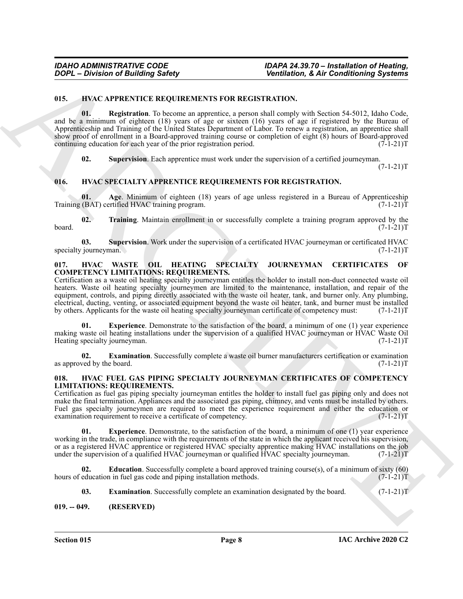#### <span id="page-7-6"></span><span id="page-7-5"></span><span id="page-7-0"></span>**015. HVAC APPRENTICE REQUIREMENTS FOR REGISTRATION.**

**Control de Constitution (Ed. Constitution Control de Constitution Constitution Constitution (Ed. Constitution Constitution Constitution Constitution (Ed. Constitution Constitution Constitution (Ed. Constitution Constitut 01. Registration**. To become an apprentice, a person shall comply with Section 54-5012, Idaho Code, and be a minimum of eighteen (18) years of age or sixteen (16) years of age if registered by the Bureau of Apprenticeship and Training of the United States Department of Labor. To renew a registration, an apprentice shall show proof of enrollment in a Board-approved training course or completion of eight (8) hours of Board-approved continuing education for each year of the prior registration period.  $(7-1-21)$ T

<span id="page-7-13"></span><span id="page-7-12"></span><span id="page-7-7"></span>**02. Supervision**. Each apprentice must work under the supervision of a certified journeyman.

 $(7-1-21)T$ 

#### <span id="page-7-1"></span>**016. HVAC SPECIALTY APPRENTICE REQUIREMENTS FOR REGISTRATION.**

**01.** Age. Minimum of eighteen (18) years of age unless registered in a Bureau of Apprenticeship (BAT) certified HVAC training program. Training (BAT) certified HVAC training program.

<span id="page-7-15"></span>**02. Training**. Maintain enrollment in or successfully complete a training program approved by the board. (7-1-21)T

<span id="page-7-14"></span>**03.** Supervision. Work under the supervision of a certificated HVAC journeyman or certificated HVAC journeyman. (7-1-21)T specialty journeyman.

#### <span id="page-7-16"></span><span id="page-7-2"></span>**017. HVAC WASTE OIL HEATING SPECIALTY JOURNEYMAN CERTIFICATES OF COMPETENCY LIMITATIONS: REQUIREMENTS.**

Certification as a waste oil heating specialty journeyman entitles the holder to install non-duct connected waste oil heaters. Waste oil heating specialty journeymen are limited to the maintenance, installation, and repair of the equipment, controls, and piping directly associated with the waste oil heater, tank, and burner only. Any plumbing, electrical, ducting, venting, or associated equipment beyond the waste oil heater, tank, and burner must be installed by others. Applicants for the waste oil heating specialty journeyman certificate of competency must: (7-1-21)T

<span id="page-7-18"></span>**Experience**. Demonstrate to the satisfaction of the board, a minimum of one (1) year experience making waste oil heating installations under the supervision of a qualified HVAC journeyman or HVAC Waste Oil Heating specialty journeyman. (7-1-21)T

<span id="page-7-17"></span>**02. Examination**. Successfully complete a waste oil burner manufacturers certification or examination as approved by the board.  $(7-1-21)T$ 

#### <span id="page-7-8"></span><span id="page-7-3"></span>**018. HVAC FUEL GAS PIPING SPECIALTY JOURNEYMAN CERTIFICATES OF COMPETENCY LIMITATIONS: REQUIREMENTS.**

Certification as fuel gas piping specialty journeyman entitles the holder to install fuel gas piping only and does not make the final termination. Appliances and the associated gas piping, chimney, and vents must be installed by others. Fuel gas specialty journeymen are required to meet the experience requirement and either the education or examination requirement to receive a certificate of competency. (7-1-21) examination requirement to receive a certificate of competency.

<span id="page-7-11"></span>**01. Experience**. Demonstrate, to the satisfaction of the board, a minimum of one (1) year experience working in the trade, in compliance with the requirements of the state in which the applicant received his supervision, or as a registered HVAC apprentice or registered HVAC specialty apprentice making HVAC installations on the job<br>under the supervision of a qualified HVAC journeyman or qualified HVAC specialty journeyman. (7-1-21)T under the supervision of a qualified HVAC journeyman or qualified  $\overline{H}$ VAC specialty journeyman.

**02. Education**. Successfully complete a board approved training course(s), of a minimum of sixty (60) hours of education in fuel gas code and piping installation methods. (7-1-21) T

<span id="page-7-10"></span><span id="page-7-9"></span>**03.** Examination. Successfully complete an examination designated by the board. (7-1-21)T

#### <span id="page-7-4"></span>**019. -- 049. (RESERVED)**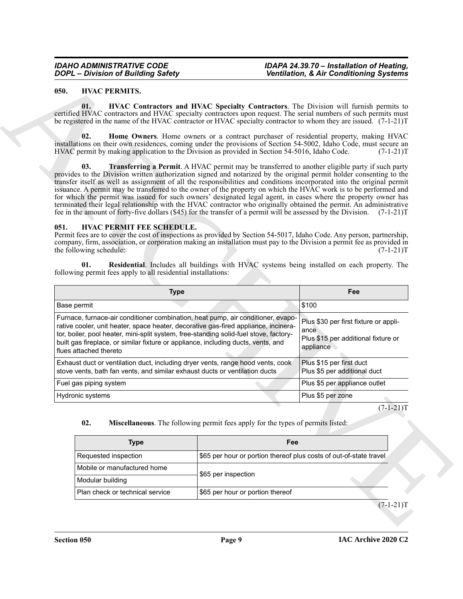#### <span id="page-8-7"></span><span id="page-8-6"></span><span id="page-8-5"></span><span id="page-8-0"></span>**050. HVAC PERMITS.**

#### <span id="page-8-8"></span><span id="page-8-4"></span><span id="page-8-2"></span><span id="page-8-1"></span>**051. HVAC PERMIT FEE SCHEDULE.**

| <b>DOPL</b> - Division of Building Safety |                                                                                                                                                                                                                                                                                                                                                                                                                                                                                                                                                                                                                                                                                                                                             |                                                                                 | <b>Ventilation, &amp; Air Conditioning Systems</b>                                                         |
|-------------------------------------------|---------------------------------------------------------------------------------------------------------------------------------------------------------------------------------------------------------------------------------------------------------------------------------------------------------------------------------------------------------------------------------------------------------------------------------------------------------------------------------------------------------------------------------------------------------------------------------------------------------------------------------------------------------------------------------------------------------------------------------------------|---------------------------------------------------------------------------------|------------------------------------------------------------------------------------------------------------|
| 050.                                      | <b>HVAC PERMITS.</b>                                                                                                                                                                                                                                                                                                                                                                                                                                                                                                                                                                                                                                                                                                                        |                                                                                 |                                                                                                            |
|                                           | 01.<br>certified HVAC contractors and HVAC specialty contractors upon request. The serial numbers of such permits must<br>be registered in the name of the HVAC contractor or HVAC specialty contractor to whom they are issued. (7-1-21)T                                                                                                                                                                                                                                                                                                                                                                                                                                                                                                  |                                                                                 | HVAC Contractors and HVAC Specialty Contractors. The Division will furnish permits to                      |
|                                           | 02.<br>installations on their own residences, coming under the provisions of Section 54-5002, Idaho Code, must secure an<br>HVAC permit by making application to the Division as provided in Section 54-5016, Idaho Code.                                                                                                                                                                                                                                                                                                                                                                                                                                                                                                                   |                                                                                 | Home Owners. Home owners or a contract purchaser of residential property, making HVAC<br>$(7-1-21)T$       |
|                                           | 03.<br>provides to the Division written authorization signed and notarized by the original permit holder consenting to the<br>transfer itself as well as assignment of all the responsibilities and conditions incorporated into the original permit<br>issuance. A permit may be transferred to the owner of the property on which the HVAC work is to be performed and<br>for which the permit was issued for such owners' designated legal agent, in cases where the property owner has<br>terminated their legal relationship with the HVAC contractor who originally obtained the permit. An administrative<br>fee in the amount of forty-five dollars (\$45) for the transfer of a permit will be assessed by the Division. (7-1-21)T |                                                                                 | Transferring a Permit. A HVAC permit may be transferred to another eligible party if such party            |
| 051.                                      | HVAC PERMIT FEE SCHEDULE.<br>Permit fees are to cover the cost of inspections as provided by Section 54-5017, Idaho Code. Any person, partnership,<br>company, firm, association, or corporation making an installation must pay to the Division a permit fee as provided in<br>the following schedule:<br>01.                                                                                                                                                                                                                                                                                                                                                                                                                              |                                                                                 | $(7-1-21)T$<br>Residential. Includes all buildings with HVAC systems being installed on each property. The |
|                                           | following permit fees apply to all residential installations:                                                                                                                                                                                                                                                                                                                                                                                                                                                                                                                                                                                                                                                                               |                                                                                 |                                                                                                            |
|                                           | <b>Type</b>                                                                                                                                                                                                                                                                                                                                                                                                                                                                                                                                                                                                                                                                                                                                 |                                                                                 | Fee                                                                                                        |
|                                           | Base permit                                                                                                                                                                                                                                                                                                                                                                                                                                                                                                                                                                                                                                                                                                                                 |                                                                                 | \$100                                                                                                      |
|                                           | Furnace, furnace-air conditioner combination, heat pump, air conditioner, evapo-<br>rative cooler, unit heater, space heater, decorative gas-fired appliance, incinera-<br>tor, boiler, pool heater, mini-split system, free-standing solid-fuel stove, factory-<br>built gas fireplace, or similar fixture or appliance, including ducts, vents, and<br>flues attached thereto                                                                                                                                                                                                                                                                                                                                                             |                                                                                 | Plus \$30 per first fixture or appli-<br>ance<br>Plus \$15 per additional fixture or<br>appliance          |
|                                           | Exhaust duct or ventilation duct, including dryer vents, range hood vents, cook<br>stove vents, bath fan vents, and similar exhaust ducts or ventilation ducts                                                                                                                                                                                                                                                                                                                                                                                                                                                                                                                                                                              |                                                                                 | Plus \$15 per first duct<br>Plus \$5 per additional duct                                                   |
|                                           | Fuel gas piping system                                                                                                                                                                                                                                                                                                                                                                                                                                                                                                                                                                                                                                                                                                                      |                                                                                 | Plus \$5 per appliance outlet                                                                              |
|                                           | Hydronic systems                                                                                                                                                                                                                                                                                                                                                                                                                                                                                                                                                                                                                                                                                                                            |                                                                                 | Plus \$5 per zone                                                                                          |
|                                           | 02.                                                                                                                                                                                                                                                                                                                                                                                                                                                                                                                                                                                                                                                                                                                                         | Miscellaneous. The following permit fees apply for the types of permits listed: | $(7-1-21)T$                                                                                                |
|                                           | <b>Type</b>                                                                                                                                                                                                                                                                                                                                                                                                                                                                                                                                                                                                                                                                                                                                 | Fee                                                                             |                                                                                                            |
|                                           | Requested inspection                                                                                                                                                                                                                                                                                                                                                                                                                                                                                                                                                                                                                                                                                                                        | \$65 per hour or portion thereof plus costs of out-of-state travel              |                                                                                                            |
|                                           | Mobile or manufactured home                                                                                                                                                                                                                                                                                                                                                                                                                                                                                                                                                                                                                                                                                                                 | \$65 per inspection                                                             |                                                                                                            |
|                                           | Modular building<br>Plan check or technical service                                                                                                                                                                                                                                                                                                                                                                                                                                                                                                                                                                                                                                                                                         | \$65 per hour or portion thereof                                                |                                                                                                            |

#### <span id="page-8-3"></span>**02. Miscellaneous**. The following permit fees apply for the types of permits listed:

| Type                            | Fee                                                                |  |  |  |
|---------------------------------|--------------------------------------------------------------------|--|--|--|
| Requested inspection            | \$65 per hour or portion thereof plus costs of out-of-state travel |  |  |  |
| Mobile or manufactured home     | \$65 per inspection                                                |  |  |  |
| Modular building                |                                                                    |  |  |  |
| Plan check or technical service | \$65 per hour or portion thereof                                   |  |  |  |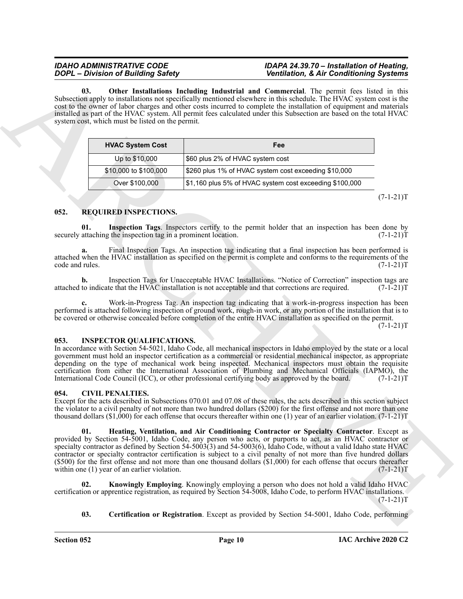<span id="page-9-7"></span>**03. Other Installations Including Industrial and Commercial**. The permit fees listed in this Subsection apply to installations not specifically mentioned elsewhere in this schedule. The HVAC system cost is the cost to the owner of labor charges and other costs incurred to complete the installation of equipment and materials installed as part of the HVAC system. All permit fees calculated under this Subsection are based on the total HVAC system cost, which must be listed on the permit.

| <b>HVAC System Cost</b> | Fee                                                     |
|-------------------------|---------------------------------------------------------|
| Up to \$10,000          | \$60 plus 2% of HVAC system cost                        |
| \$10,000 to \$100,000   | \$260 plus 1% of HVAC system cost exceeding \$10,000    |
| Over \$100,000          | \$1,160 plus 5% of HVAC system cost exceeding \$100,000 |

 $(7-1-21)T$ 

#### <span id="page-9-9"></span><span id="page-9-0"></span>**052. REQUIRED INSPECTIONS.**

<span id="page-9-10"></span>**01.** Inspection Tags. Inspectors certify to the permit holder that an inspection has been done by attaching the inspection tag in a prominent location. (7-1-21) securely attaching the inspection tag in a prominent location.

**a.** Final Inspection Tags. An inspection tag indicating that a final inspection has been performed is attached when the HVAC installation as specified on the permit is complete and conforms to the requirements of the code and rules. (7-1-21)T

**b.** Inspection Tags for Unacceptable HVAC Installations. "Notice of Correction" inspection tags are to indicate that the HVAC installation is not acceptable and that corrections are required.  $(7-1-21)$ T attached to indicate that the HVAC installation is not acceptable and that corrections are required.

**c.** Work-in-Progress Tag. An inspection tag indicating that a work-in-progress inspection has been performed is attached following inspection of ground work, rough-in work, or any portion of the installation that is to be covered or otherwise concealed before completion of the entire HVAC installation as specified on the permit.  $(7-1-21)T$ 

#### <span id="page-9-8"></span><span id="page-9-1"></span>**053. INSPECTOR QUALIFICATIONS.**

In accordance with Section 54-5021, Idaho Code, all mechanical inspectors in Idaho employed by the state or a local government must hold an inspector certification as a commercial or residential mechanical inspector, as appropriate depending on the type of mechanical work being inspected. Mechanical inspectors must obtain the requisite certification from either the International Association of Plumbing and Mechanical Officials (IAPMO), the International Code Council (ICC), or other professional certifying body as approved by the board. (7-1-21)T

#### <span id="page-9-3"></span><span id="page-9-2"></span>**054. CIVIL PENALTIES.**

<span id="page-9-5"></span>Except for the acts described in Subsections 070.01 and 07.08 of these rules, the acts described in this section subject the violator to a civil penalty of not more than two hundred dollars (\$200) for the first offense and not more than one thousand dollars  $(\$1,000)$  for each offense that occurs thereafter within one (1) year of an earlier violation. (7-1-21)T

2004-2 Distribution Statistics and Burley Constitution (Constitution Constitution Constitution (Constitution Constitution Constitution Constitution Constitution (Constitution Constitution Constitution Constitution Constit **01. Heating, Ventilation, and Air Conditioning Contractor or Specialty Contractor**. Except as provided by Section 54-5001, Idaho Code, any person who acts, or purports to act, as an HVAC contractor or specialty contractor as defined by Section 54-5003(3) and 54-5003(6), Idaho Code, without a valid Idaho state HVAC contractor or specialty contractor certification is subject to a civil penalty of not more than five hundred dollars (\$500) for the first offense and not more than one thousand dollars  $(1,000)$  for each offense that occurs thereafter within one (1) year of an earlier violation. within one  $(1)$  year of an earlier violation.

**02. Knowingly Employing**. Knowingly employing a person who does not hold a valid Idaho HVAC certification or apprentice registration, as required by Section 54-5008, Idaho Code, to perform HVAC installations.  $(7-1-21)T$ 

<span id="page-9-6"></span><span id="page-9-4"></span>**03.** Certification or Registration. Except as provided by Section 54-5001, Idaho Code, performing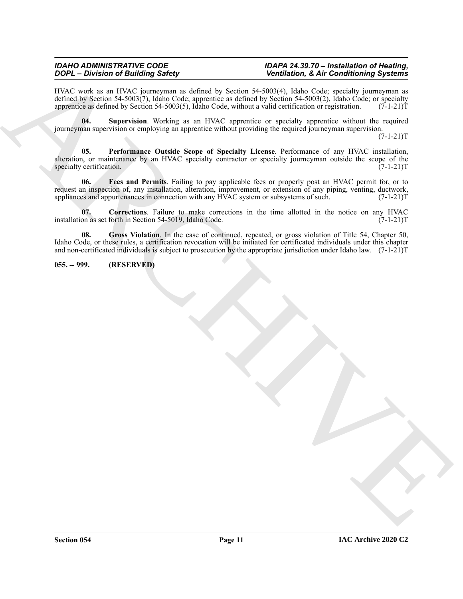HVAC work as an HVAC journeyman as defined by Section 54-5003(4), Idaho Code; specialty journeyman as defined by Section 54-5003(7), Idaho Code; apprentice as defined by Section 54-5003(2), Idaho Code; or specialty apprentice as defined by Section 54-5003(5), Idaho Code, without a valid certification or registration. (7-1 apprentice as defined by Section 54-5003(5), Idaho Code, without a valid certification or registration.

<span id="page-10-5"></span>**04. Supervision**. Working as an HVAC apprentice or specialty apprentice without the required journeyman supervision or employing an apprentice without providing the required journeyman supervision.

 $(7-1-21)T$ 

<span id="page-10-4"></span><span id="page-10-2"></span>**05. Performance Outside Scope of Specialty License**. Performance of any HVAC installation, alteration, or maintenance by an HVAC specialty contractor or specialty journeyman outside the scope of the specialty certification. (7-1-21)T

 $\overline{QCD} = \overline{QCD}$ . The stationary is the stationary of the stationary is the stationary of the stationary of the stationary of the stationary of the stationary of the stationary of the stationary of the stationary of the **06. Fees and Permits**. Failing to pay applicable fees or properly post an HVAC permit for, or to request an inspection of, any installation, alteration, improvement, or extension of any piping, venting, ductwork, appliances and appurtenances in connection with any HVAC system or subsystems of such. (7-1-21)T

<span id="page-10-1"></span>**07.** Corrections. Failure to make corrections in the time allotted in the notice on any HVAC on as set forth in Section 54-5019, Idaho Code. (7-1-21) installation as set forth in Section 54-5019, Idaho Code.

<span id="page-10-3"></span>**08. Gross Violation**. In the case of continued, repeated, or gross violation of Title 54, Chapter 50, Idaho Code, or these rules, a certification revocation will be initiated for certificated individuals under this chapter and non-certificated individuals is subject to prosecution by the appropriate jurisdiction under Idaho law.  $(7-1-21)T$ 

#### <span id="page-10-0"></span>**055. -- 999. (RESERVED)**